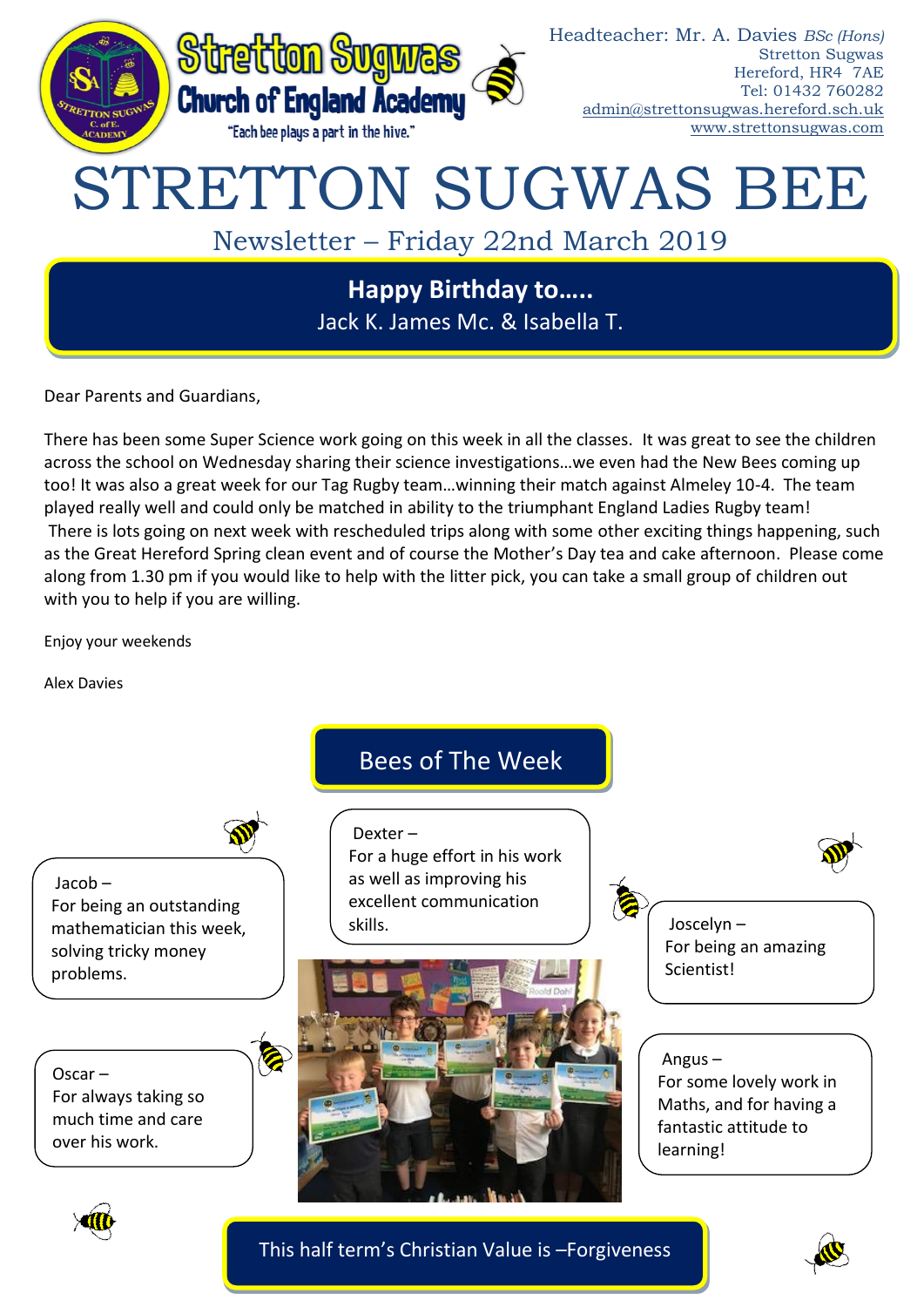

Jack K. James Mc. & Isabella T.

Dear Parents and Guardians,

There has been some Super Science work going on this week in all the classes. It was great to see the children across the school on Wednesday sharing their science investigations…we even had the New Bees coming up too! It was also a great week for our Tag Rugby team…winning their match against Almeley 10-4. The team played really well and could only be matched in ability to the triumphant England Ladies Rugby team! There is lots going on next week with rescheduled trips along with some other exciting things happening, such as the Great Hereford Spring clean event and of course the Mother's Day tea and cake afternoon. Please come along from 1.30 pm if you would like to help with the litter pick, you can take a small group of children out with you to help if you are willing.

Enjoy your weekends

Alex Davies



This half term's Christian Value is –Forgiveness